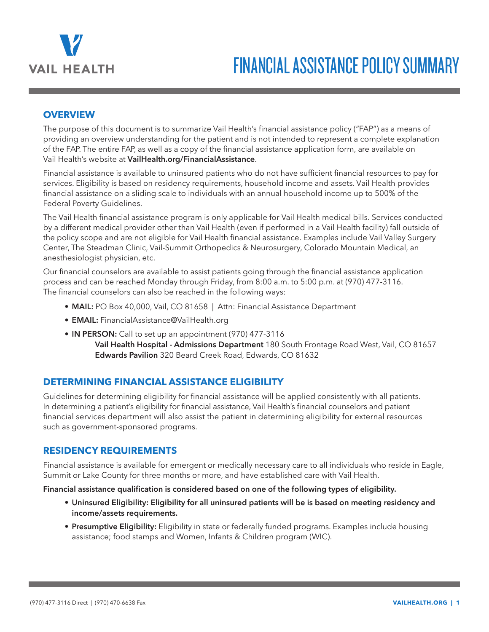

# FINANCIAL ASSISTANCE POLICY SUMMARY

## **OVERVIEW**

The purpose of this document is to summarize Vail Health's financial assistance policy ("FAP") as a means of providing an overview understanding for the patient and is not intended to represent a complete explanation of the FAP. The entire FAP, as well as a copy of the financial assistance application form, are available on Vail Health's website at **VailHealth.org/FinancialAssistance**.

Financial assistance is available to uninsured patients who do not have sufficient financial resources to pay for services. Eligibility is based on residency requirements, household income and assets. Vail Health provides financial assistance on a sliding scale to individuals with an annual household income up to 500% of the Federal Poverty Guidelines.

The Vail Health financial assistance program is only applicable for Vail Health medical bills. Services conducted by a different medical provider other than Vail Health (even if performed in a Vail Health facility) fall outside of the policy scope and are not eligible for Vail Health financial assistance. Examples include Vail Valley Surgery Center, The Steadman Clinic, Vail-Summit Orthopedics & Neurosurgery, Colorado Mountain Medical, an anesthesiologist physician, etc.

Our financial counselors are available to assist patients going through the financial assistance application process and can be reached Monday through Friday, from 8:00 a.m. to 5:00 p.m. at (970) 477-3116. The financial counselors can also be reached in the following ways:

- **MAIL:** PO Box 40,000, Vail, CO 81658 | Attn: Financial Assistance Department
- **• EMAIL:** FinancialAssistance@VailHealth.org
- **• IN PERSON:** Call to set up an appointment (970) 477-3116
	- **Vail Health Hospital Admissions Department** 180 South Frontage Road West, Vail, CO 81657 **Edwards Pavilion** 320 Beard Creek Road, Edwards, CO 81632

## **DETERMINING FINANCIAL ASSISTANCE ELIGIBILITY**

Guidelines for determining eligibility for financial assistance will be applied consistently with all patients. In determining a patient's eligibility for financial assistance, Vail Health's financial counselors and patient financial services department will also assist the patient in determining eligibility for external resources such as government-sponsored programs.

### **RESIDENCY REQUIREMENTS**

Financial assistance is available for emergent or medically necessary care to all individuals who reside in Eagle, Summit or Lake County for three months or more, and have established care with Vail Health.

#### **Financial assistance qualification is considered based on one of the following types of eligibility.**

- **• Uninsured Eligibility: Eligibility for all uninsured patients will be is based on meeting residency and income/assets requirements.**
- **• Presumptive Eligibility:** Eligibility in state or federally funded programs. Examples include housing assistance; food stamps and Women, Infants & Children program (WIC).